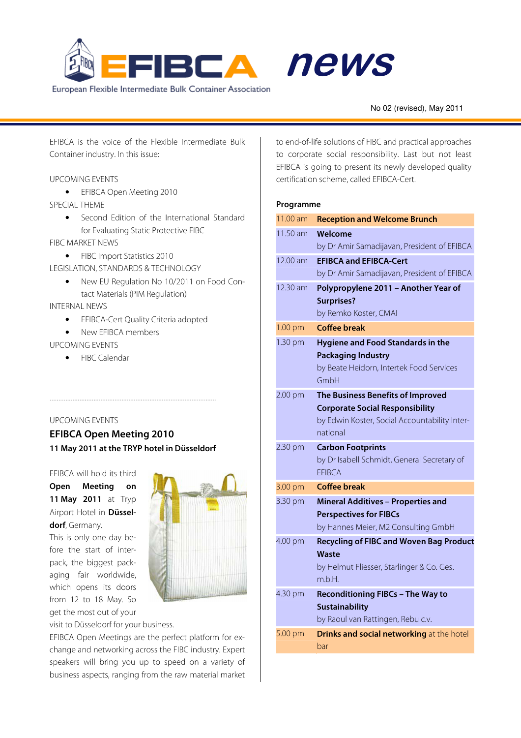



# No 02 (revised), May 2011 alert Molder<br>Moldert Molder<br>Moldert Moldert Moldert Moldert Moldert Moldert Moldert Moldert Moldert Moldert Moldert Moldert Moldert Molder

EFIBCA is the voice of the Flexible Intermediate Bulk Container industry. In this issue:

# UPCOMING EVENTS

• EFIBCA Open Meeting 2010 SPECIAL THEME

> • Second Edition of the International Standard for Evaluating Static Protective FIBC

FIBC MARKET NEWS

• FIBC Import Statistics 2010

LEGISLATION, STANDARDS & TECHNOLOGY

• New EU Regulation No 10/2011 on Food Contact Materials (PIM Regulation)

INTERNAL NEWS

- EFIBCA-Cert Quality Criteria adopted
- New FFIRCA members

# UPCOMING EVENTS

• FIBC Calendar

#### UPCOMING EVENTS

**EFIBCA Open Meeting 2010 11 May 2011 at the TRYP hotel in Düsseldorf** 

#### EFIBCA will hold its third

**Open Meeting on 11 May 2011** at Tryp Airport Hotel in **Düsseldorf**, Germany.

This is only one day before the start of interpack, the biggest packaging fair worldwide, which opens its doors from 12 to 18 May. So get the most out of your



visit to Düsseldorf for your business.

EFIBCA Open Meetings are the perfect platform for exchange and networking across the FIBC industry. Expert speakers will bring you up to speed on a variety of business aspects, ranging from the raw material market to end-of-life solutions of FIBC and practical approaches to corporate social responsibility. Last but not least EFIBCA is going to present its newly developed quality certification scheme, called EFIBCA-Cert.

# **Programme**

| 11.00 am | <b>Reception and Welcome Brunch</b>                                                     |
|----------|-----------------------------------------------------------------------------------------|
| 11.50 am | Welcome                                                                                 |
|          | by Dr Amir Samadijavan, President of EFIBCA                                             |
| 12.00 am | <b>EFIBCA and EFIBCA-Cert</b>                                                           |
|          | by Dr Amir Samadijavan, President of EFIBCA                                             |
| 12.30 am | Polypropylene 2011 - Another Year of                                                    |
|          | <b>Surprises?</b>                                                                       |
|          | by Remko Koster, CMAI                                                                   |
| 1.00 pm  | <b>Coffee break</b>                                                                     |
| 1.30 pm  | <b>Hygiene and Food Standards in the</b>                                                |
|          | <b>Packaging Industry</b>                                                               |
|          | by Beate Heidorn, Intertek Food Services<br>GmbH                                        |
|          |                                                                                         |
| 2.00 pm  | The Business Benefits of Improved                                                       |
|          | <b>Corporate Social Responsibility</b><br>by Edwin Koster, Social Accountability Inter- |
|          | national                                                                                |
| 2.30 pm  | <b>Carbon Footprints</b>                                                                |
|          | by Dr Isabell Schmidt, General Secretary of                                             |
|          | <b>EFIBCA</b>                                                                           |
| 3.00 pm  | <b>Coffee break</b>                                                                     |
| 3.30 pm  | <b>Mineral Additives - Properties and</b>                                               |
|          | <b>Perspectives for FIBCs</b>                                                           |
|          | by Hannes Meier, M2 Consulting GmbH                                                     |
| 4.00 pm  | <b>Recycling of FIBC and Woven Bag Product</b>                                          |
|          | Waste                                                                                   |
|          | by Helmut Fliesser, Starlinger & Co. Ges.                                               |
|          | m.b.H.                                                                                  |
| 4.30 pm  | <b>Reconditioning FIBCs - The Way to</b>                                                |
|          | <b>Sustainability</b>                                                                   |
|          | by Raoul van Rattingen, Rebu c.v.                                                       |
| 5.00 pm  | <b>Drinks and social networking at the hotel</b><br>bar                                 |
|          |                                                                                         |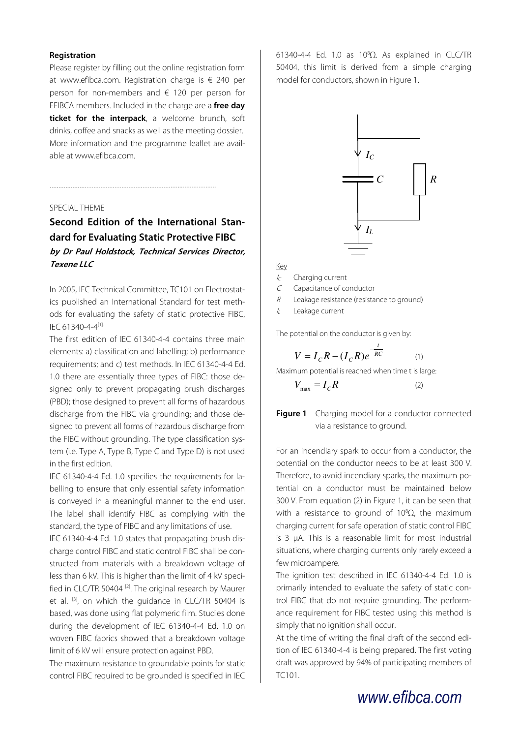#### **Registration**

Please register by filling out the online registration form at www.efibca.com. Registration charge is € 240 per person for non-members and € 120 per person for EFIBCA members. Included in the charge are a **free day ticket for the interpack**, a welcome brunch, soft drinks, coffee and snacks as well as the meeting dossier. More information and the programme leaflet are available at www.efibca.com.

# SPECIAL THEME

# **Second Edition of the International Standard for Evaluating Static Protective FIBC by Dr Paul Holdstock, Technical Services Director, Texene LLC**

In 2005, IEC Technical Committee, TC101 on Electrostatics published an International Standard for test methods for evaluating the safety of static protective FIBC, IEC 61340-4-4[1].

The first edition of IEC 61340-4-4 contains three main elements: a) classification and labelling; b) performance requirements; and c) test methods. In IEC 61340-4-4 Ed. 1.0 there are essentially three types of FIBC: those designed only to prevent propagating brush discharges (PBD); those designed to prevent all forms of hazardous discharge from the FIBC via grounding; and those designed to prevent all forms of hazardous discharge from the FIBC without grounding. The type classification system (i.e. Type A, Type B, Type C and Type D) is not used in the first edition.

IEC 61340-4-4 Ed. 1.0 specifies the requirements for labelling to ensure that only essential safety information is conveyed in a meaningful manner to the end user. The label shall identify FIBC as complying with the standard, the type of FIBC and any limitations of use.

IEC 61340-4-4 Ed. 1.0 states that propagating brush discharge control FIBC and static control FIBC shall be constructed from materials with a breakdown voltage of less than 6 kV. This is higher than the limit of 4 kV specified in CLC/TR 50404<sup>[2]</sup>. The original research by Maurer et al. <sup>[3]</sup>, on which the quidance in CLC/TR 50404 is based, was done using flat polymeric film. Studies done during the development of IEC 61340-4-4 Ed. 1.0 on woven FIBC fabrics showed that a breakdown voltage limit of 6 kV will ensure protection against PBD.

The maximum resistance to groundable points for static control FIBC required to be grounded is specified in IEC 61340-4-4 Ed. 1.0 as 10<sup>8</sup>Ω. As explained in CLC/TR 50404, this limit is derived from a simple charging model for conductors, shown in Figure 1.



# Key

 $I_C$  Charging current

<sup>C</sup> Capacitance of conductor

 $R$  Leakage resistance (resistance to ground)

 $\mathcal{U}$  Leakage current

The potential on the conductor is given by:

$$
V = I_C R - (I_C R)e^{-\frac{t}{RC}}
$$
 (1)

Maximum potential is reached when time t is large:

$$
V_{\text{max}} = I_C R \tag{2}
$$

**Figure 1** Charging model for a conductor connected via a resistance to ground.

For an incendiary spark to occur from a conductor, the potential on the conductor needs to be at least 300 V. Therefore, to avoid incendiary sparks, the maximum potential on a conductor must be maintained below 300 V. From equation (2) in Figure 1, it can be seen that with a resistance to ground of  $10^8\Omega$ , the maximum charging current for safe operation of static control FIBC is 3 µA. This is a reasonable limit for most industrial situations, where charging currents only rarely exceed a few microampere.

The ignition test described in IEC 61340-4-4 Ed. 1.0 is primarily intended to evaluate the safety of static control FIBC that do not require grounding. The performance requirement for FIBC tested using this method is simply that no ignition shall occur.

At the time of writing the final draft of the second edition of IEC 61340-4-4 is being prepared. The first voting draft was approved by 94% of participating members of TC101.

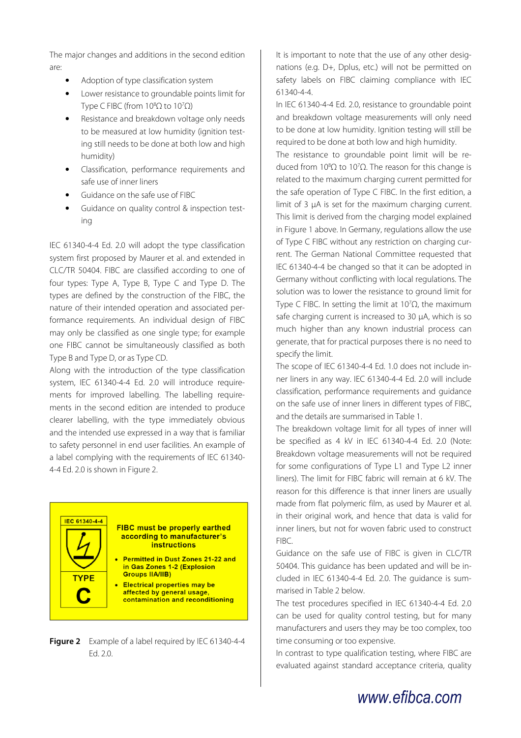The major changes and additions in the second edition are:

- Adoption of type classification system
- Lower resistance to groundable points limit for Type C FIBC (from  $10^8\Omega$  to  $10^7\Omega$ )
- Resistance and breakdown voltage only needs to be measured at low humidity (ignition testing still needs to be done at both low and high humidity)
- Classification, performance requirements and safe use of inner liners
- Guidance on the safe use of FIBC
- Guidance on quality control & inspection testing

IEC 61340-4-4 Ed. 2.0 will adopt the type classification system first proposed by Maurer et al. and extended in CLC/TR 50404. FIBC are classified according to one of four types: Type A, Type B, Type C and Type D. The types are defined by the construction of the FIBC, the nature of their intended operation and associated performance requirements. An individual design of FIBC may only be classified as one single type; for example one FIBC cannot be simultaneously classified as both Type B and Type D, or as Type CD.

Along with the introduction of the type classification system, IEC 61340-4-4 Ed. 2.0 will introduce requirements for improved labelling. The labelling requirements in the second edition are intended to produce clearer labelling, with the type immediately obvious and the intended use expressed in a way that is familiar to safety personnel in end user facilities. An example of a label complying with the requirements of IEC 61340- 4-4 Ed. 2.0 is shown in Figure 2.

#### **IEC 61340-4-4 FIBC must be properly earthed** according to manufacturer's instructions **Permitted in Dust Zones 21-22 and** in Gas Zones 1-2 (Explosion **Groups IIA/IIB) TYPE**

**Electrical properties may be** z affected by general usage, contamination and reconditioning

**Figure 2** Example of a label required by IEC 61340-4-4 Ed. 2.0.

It is important to note that the use of any other designations (e.g. D+, Dplus, etc.) will not be permitted on safety labels on FIBC claiming compliance with IEC 61340-4-4.

In IEC 61340-4-4 Ed. 2.0, resistance to groundable point and breakdown voltage measurements will only need to be done at low humidity. Ignition testing will still be required to be done at both low and high humidity.

The resistance to groundable point limit will be reduced from 10<sup>8</sup>Ω to 10<sup>7</sup>Ω. The reason for this change is related to the maximum charging current permitted for the safe operation of Type C FIBC. In the first edition, a limit of 3 µA is set for the maximum charging current. This limit is derived from the charging model explained in Figure 1 above. In Germany, regulations allow the use of Type C FIBC without any restriction on charging current. The German National Committee requested that IEC 61340-4-4 be changed so that it can be adopted in Germany without conflicting with local regulations. The solution was to lower the resistance to ground limit for Type C FIBC. In setting the limit at  $10^7\Omega$ , the maximum safe charging current is increased to 30 µA, which is so much higher than any known industrial process can generate, that for practical purposes there is no need to specify the limit.

The scope of IEC 61340-4-4 Ed. 1.0 does not include inner liners in any way. IEC 61340-4-4 Ed. 2.0 will include classification, performance requirements and guidance on the safe use of inner liners in different types of FIBC, and the details are summarised in Table 1.

The breakdown voltage limit for all types of inner will be specified as 4 kV in IEC 61340-4-4 Ed. 2.0 (Note: Breakdown voltage measurements will not be required for some configurations of Type L1 and Type L2 inner liners). The limit for FIBC fabric will remain at 6 kV. The reason for this difference is that inner liners are usually made from flat polymeric film, as used by Maurer et al. in their original work, and hence that data is valid for inner liners, but not for woven fabric used to construct FIBC.

Guidance on the safe use of FIBC is given in CLC/TR 50404. This guidance has been updated and will be included in IEC 61340-4-4 Ed. 2.0. The guidance is summarised in Table 2 below.

The test procedures specified in IEC 61340-4-4 Ed. 2.0 can be used for quality control testing, but for many manufacturers and users they may be too complex, too time consuming or too expensive.

In contrast to type qualification testing, where FIBC are evaluated against standard acceptance criteria, quality

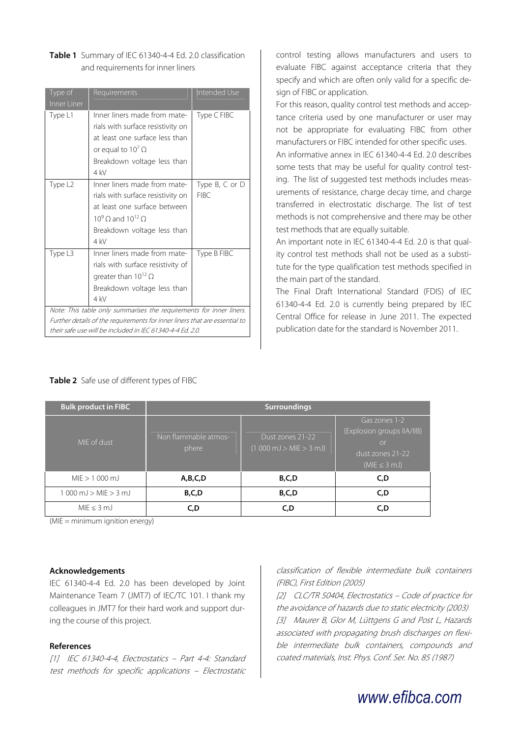| Type of<br>Inner Liner                                                                                                                                                                                         | Requirements                                                                                                                                                              | Intended Use           |  |
|----------------------------------------------------------------------------------------------------------------------------------------------------------------------------------------------------------------|---------------------------------------------------------------------------------------------------------------------------------------------------------------------------|------------------------|--|
| Type L1                                                                                                                                                                                                        | Inner liners made from mate-<br>rials with surface resistivity on<br>at least one surface less than<br>or equal to $10^7 \Omega$<br>Breakdown voltage less than<br>$4$ kV | Type C FIBC            |  |
| Type L2                                                                                                                                                                                                        | Inner liners made from mate-<br>rials with surface resistivity on<br>at least one surface between<br>$10^9$ O and $10^{12}$ O<br>Breakdown voltage less than<br>$4$ kV    | Type B, C or D<br>FIRC |  |
| Type L3                                                                                                                                                                                                        | Inner liners made from mate-<br>rials with surface resistivity of<br>greater than $10^{12} \Omega$<br>Breakdown voltage less than<br>4 kV                                 | Type B FIBC            |  |
| Note: This table only summarises the requirements for inner liners.<br>Further details of the requirements for inner liners that are essential to<br>their safe use will be included in IEC 61340-4-4 Ed. 2.0. |                                                                                                                                                                           |                        |  |

| Table 1 Summary of IEC 61340-4-4 Ed. 2.0 classification |  |  |  |  |  |
|---------------------------------------------------------|--|--|--|--|--|
| and requirements for inner liners                       |  |  |  |  |  |

control testing allows manufacturers and users to evaluate FIBC against acceptance criteria that they specify and which are often only valid for a specific design of FIBC or application.

For this reason, quality control test methods and acceptance criteria used by one manufacturer or user may not be appropriate for evaluating FIBC from other manufacturers or FIBC intended for other specific uses.

An informative annex in IEC 61340-4-4 Ed. 2.0 describes some tests that may be useful for quality control testing. The list of suggested test methods includes measurements of resistance, charge decay time, and charge transferred in electrostatic discharge. The list of test methods is not comprehensive and there may be other test methods that are equally suitable.

An important note in IEC 61340-4-4 Ed. 2.0 is that quality control test methods shall not be used as a substitute for the type qualification test methods specified in the main part of the standard.

The Final Draft International Standard (FDIS) of IEC 61340-4-4 Ed. 2.0 is currently being prepared by IEC Central Office for release in June 2011. The expected publication date for the standard is November 2011.

| <b>Bulk product in FIBC</b>                            | <b>Surroundings</b>           |                                                                     |                                                                                            |  |
|--------------------------------------------------------|-------------------------------|---------------------------------------------------------------------|--------------------------------------------------------------------------------------------|--|
| MIE of dust                                            | Non flammable atmos-<br>phere | Dust zones 21-22<br>$(1000 \text{ mJ} > \text{MIE} > 3 \text{ mJ})$ | Gas zones 1-2<br>(Explosion groups IIA/IIB)<br>or<br>dust zones 21-22<br>$(MIE \leq 3 mJ)$ |  |
| $MIF > 1000$ mJ                                        | A,B,C,D                       | B,C,D                                                               | C,D                                                                                        |  |
| $1000 \text{ mJ} > \text{MIE} > 3 \text{ mJ}$<br>B,C,D |                               | B,C,D                                                               | C,D                                                                                        |  |
| MIF < 3 ml                                             | C,D                           | C.D                                                                 | C.D                                                                                        |  |

(MIE = minimum ignition energy)

#### **Acknowledgements**

IEC 61340-4-4 Ed. 2.0 has been developed by Joint Maintenance Team 7 (JMT7) of IEC/TC 101. I thank my colleagues in JMT7 for their hard work and support during the course of this project.

# **References**

[1] IEC 61340-4-4, Electrostatics – Part 4-4: Standard test methods for specific applications – Electrostatic classification of flexible intermediate bulk containers (FIBC), First Edition (2005)

[2] CLC/TR 50404, Electrostatics – Code of practice for the avoidance of hazards due to static electricity (2003) [3] Maurer B, Glor M, Lüttgens G and Post L, Hazards associated with propagating brush discharges on flexible intermediate bulk containers, compounds and coated materials, Inst. Phys. Conf. Ser. No. 85 (1987)

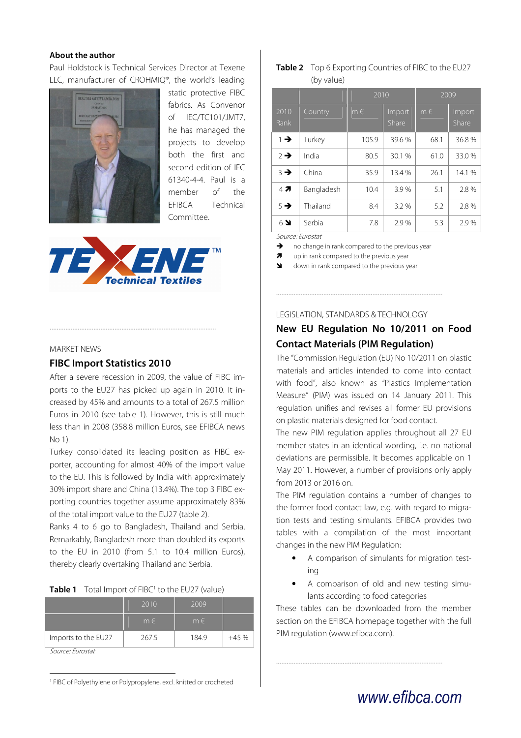# **About the author**

Paul Holdstock is Technical Services Director at Texene LLC, manufacturer of CROHMIQ®, the world's leading



static protective FIBC fabrics. As Convenor of IEC/TC101/JMT7, he has managed the projects to develop both the first and second edition of IEC 61340-4-4. Paul is a member of the EFIBCA Technical Committee.



#### MARKET NEWS

# **FIBC Import Statistics 2010**

After a severe recession in 2009, the value of FIBC imports to the EU27 has picked up again in 2010. It increased by 45% and amounts to a total of 267.5 million Euros in 2010 (see table 1). However, this is still much less than in 2008 (358.8 million Euros, see EFIBCA news No 1).

Turkey consolidated its leading position as FIBC exporter, accounting for almost 40% of the import value to the EU. This is followed by India with approximately 30% import share and China (13.4%). The top 3 FIBC exporting countries together assume approximately 83% of the total import value to the EU27 (table 2).

Ranks 4 to 6 go to Bangladesh, Thailand and Serbia. Remarkably, Bangladesh more than doubled its exports to the EU in 2010 (from 5.1 to 10.4 million Euros), thereby clearly overtaking Thailand and Serbia.

|  | <b>Table 1</b> Total Import of FIBC <sup>1</sup> to the EU27 (value) |
|--|----------------------------------------------------------------------|
|--|----------------------------------------------------------------------|

|                                      | 2010      | 2009    |        |  |
|--------------------------------------|-----------|---------|--------|--|
|                                      | $m \in I$ | $m \in$ |        |  |
| Imports to the EU27                  | 267.5     | 184.9   | $+45%$ |  |
| $C_1, \ldots, C_n, C_n, \ldots, C_n$ |           |         |        |  |

Source: Eurostat

 $\overline{a}$ 

<sup>1</sup> FIBC of Polyethylene or Polypropylene, excl. knitted or crocheted

# **Table 2** Top 6 Exporting Countries of FIBC to the EU27 (by value)

|                          |            | 2010    |                 | 2009    |                 |
|--------------------------|------------|---------|-----------------|---------|-----------------|
| 2010<br>Rank             | Country    | $m \in$ | Import<br>Share | $m \in$ | Import<br>Share |
| $1 \rightarrow$          | Turkey     | 105.9   | 39.6 %          | 68.1    | 36.8%           |
| $2 \rightarrow$          | India      | 80.5    | 30.1 %          | 61.0    | 33.0%           |
| $3 \rightarrow$          | China      | 35.9    | 13.4 %          | 26.1    | 14.1 %          |
| 47                       | Bangladesh | 10.4    | 3.9%            | 5.1     | 2.8%            |
| $5 \rightarrow$          | Thailand   | 8.4     | 3.2 %           | 5.2     | 2.8%            |
| $6$ $\blacktriangleleft$ | Serbia     | 7.8     | 2.9%            | 5.3     | 2.9%            |

Source: Eurostat

 $\rightarrow$  no change in rank compared to the previous year

 $\overline{\mathbf{z}}$ up in rank compared to the previous year

down in rank compared to the previous year

LEGISLATION, STANDARDS & TECHNOLOGY

# **New EU Regulation No 10/2011 on Food Contact Materials (PIM Regulation)**

The "Commission Regulation (EU) No 10/2011 on plastic materials and articles intended to come into contact with food", also known as "Plastics Implementation Measure" (PIM) was issued on 14 January 2011. This regulation unifies and revises all former EU provisions on plastic materials designed for food contact.

The new PIM regulation applies throughout all 27 EU member states in an identical wording, i.e. no national deviations are permissible. It becomes applicable on 1 May 2011. However, a number of provisions only apply from 2013 or 2016 on.

The PIM regulation contains a number of changes to the former food contact law, e.g. with regard to migration tests and testing simulants. EFIBCA provides two tables with a compilation of the most important changes in the new PIM Regulation:

- A comparison of simulants for migration testing
- A comparison of old and new testing simulants according to food categories

These tables can be downloaded from the member section on the EFIBCA homepage together with the full PIM regulation (www.efibca.com).

# www.efibca.com